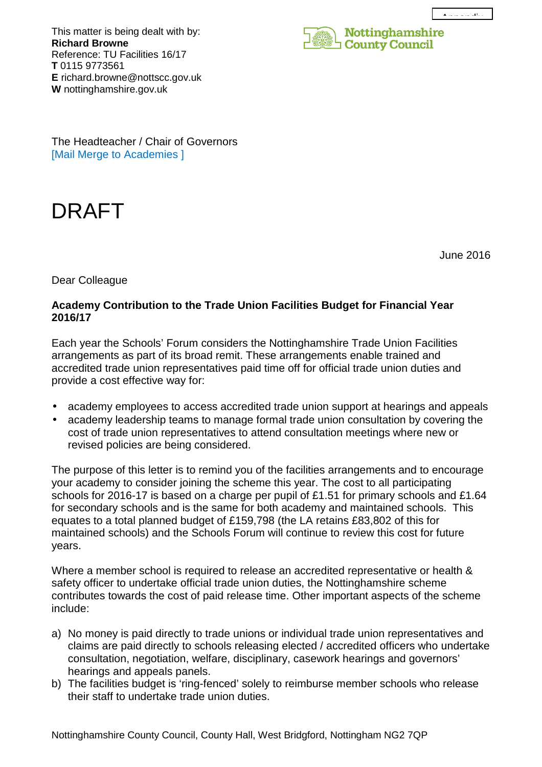$\hat{\mathbf{A}}$  is a point of the  $\hat{\mathbf{A}}$ 

This matter is being dealt with by: **Richard Browne**  Reference: TU Facilities 16/17 **T** 0115 9773561 **E** richard.browne@nottscc.gov.uk **W** nottinghamshire.gov.uk



The Headteacher / Chair of Governors [Mail Merge to Academies ]

## DRAFT

June 2016

Dear Colleague

## **Academy Contribution to the Trade Union Facilities Budget for Financial Year 2016/17**

Each year the Schools' Forum considers the Nottinghamshire Trade Union Facilities arrangements as part of its broad remit. These arrangements enable trained and accredited trade union representatives paid time off for official trade union duties and provide a cost effective way for:

- academy employees to access accredited trade union support at hearings and appeals
- academy leadership teams to manage formal trade union consultation by covering the cost of trade union representatives to attend consultation meetings where new or revised policies are being considered.

The purpose of this letter is to remind you of the facilities arrangements and to encourage your academy to consider joining the scheme this year. The cost to all participating schools for 2016-17 is based on a charge per pupil of £1.51 for primary schools and £1.64 for secondary schools and is the same for both academy and maintained schools. This equates to a total planned budget of £159,798 (the LA retains £83,802 of this for maintained schools) and the Schools Forum will continue to review this cost for future years.

Where a member school is required to release an accredited representative or health & safety officer to undertake official trade union duties, the Nottinghamshire scheme contributes towards the cost of paid release time. Other important aspects of the scheme include:

- a) No money is paid directly to trade unions or individual trade union representatives and claims are paid directly to schools releasing elected / accredited officers who undertake consultation, negotiation, welfare, disciplinary, casework hearings and governors' hearings and appeals panels.
- b) The facilities budget is 'ring-fenced' solely to reimburse member schools who release their staff to undertake trade union duties.